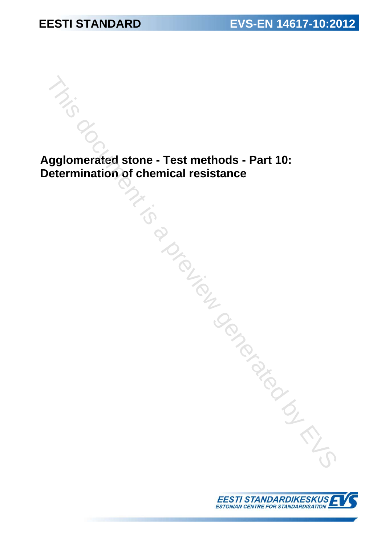# **Agglomerated stone - Test methods - Part 10: Determination of chemical resistance**  Maximum of chemical resistance<br>
Thermination of chemical resistance<br>
The previous content of the strate of the state of the state of the state of the state of the strategy of the state of the strategy of the strategy of t

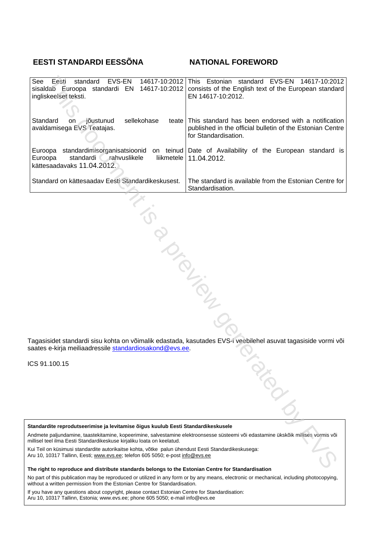# **EESTI STANDARDI EESSÕNA NATIONAL FOREWORD**

| EVS-EN<br>Eesti<br>standard<br>See<br>sisaldab Euroopa standardi EN 14617-10:2012<br>ingliskeelset teksti.                                                                                                                                                                                                                                                                                                                                                                                                                                                                                       | 14617-10:2012 This Estonian standard EVS-EN 14617-10:2012<br>consists of the English text of the European standard<br>EN 14617-10:2012.        |  |
|--------------------------------------------------------------------------------------------------------------------------------------------------------------------------------------------------------------------------------------------------------------------------------------------------------------------------------------------------------------------------------------------------------------------------------------------------------------------------------------------------------------------------------------------------------------------------------------------------|------------------------------------------------------------------------------------------------------------------------------------------------|--|
| Standard<br>on jõustunud<br>sellekohase<br>avaldamisega EVS Teatajas.                                                                                                                                                                                                                                                                                                                                                                                                                                                                                                                            | teate This standard has been endorsed with a notification<br>published in the official bulletin of the Estonian Centre<br>for Standardisation. |  |
| Euroopa<br>standardi rahvuslikele<br>liikmetele<br>Euroopa<br>kättesaadavaks 11.04.2012.                                                                                                                                                                                                                                                                                                                                                                                                                                                                                                         | standardimisorganisatsioonid on teinud Date of Availability of the European standard is<br>11.04.2012.                                         |  |
| Standard on kättesaadav Eesti Standardikeskusest.                                                                                                                                                                                                                                                                                                                                                                                                                                                                                                                                                | The standard is available from the Estonian Centre for<br>Standardisation.                                                                     |  |
| <b>PIDENS</b><br>Tagasisidet standardi sisu kohta on võimalik edastada, kasutades EVS-i veebilehel asuvat tagasiside vormi või<br>saates e-kirja meiliaadressile <u>standardiosakond@evs.ee</u> .                                                                                                                                                                                                                                                                                                                                                                                                |                                                                                                                                                |  |
| CS 91.100.15                                                                                                                                                                                                                                                                                                                                                                                                                                                                                                                                                                                     | <b>ASSIS</b>                                                                                                                                   |  |
| Standardite reprodutseerimise ja levitamise õigus kuulub Eesti Standardikeskusele<br>Andmete paljundamine, taastekitamine, kopeerimine, salvestamine elektroonsesse süsteemi või edastamine ükskõik millises vormis või<br>nillisel teel ilma Eesti Standardikeskuse kirjaliku loata on keelatud.<br>Cui Teil on küsimusi standardite autorikaitse kohta, võtke palun ühendust Eesti Standardikeskusega:<br>\ru 10, 10317 Tallinn, Eesti; www.evs.ee; telefon 605 5050; e-post info@evs.ee<br>The right to reproduce and distribute standards belopes to the Estonian Centre for Standardisation |                                                                                                                                                |  |

ICS 91.100.15

**The right to reproduce and distribute standards belongs to the Estonian Centre for Standardisation** 

No part of this publication may be reproduced or utilized in any form or by any means, electronic or mechanical, including photocopying, without a written permission from the Estonian Centre for Standardisation.

If you have any questions about copyright, please contact Estonian Centre for Standardisation: Aru 10, 10317 Tallinn, Estonia; www.evs.ee; phone 605 5050; e-mail info@evs.ee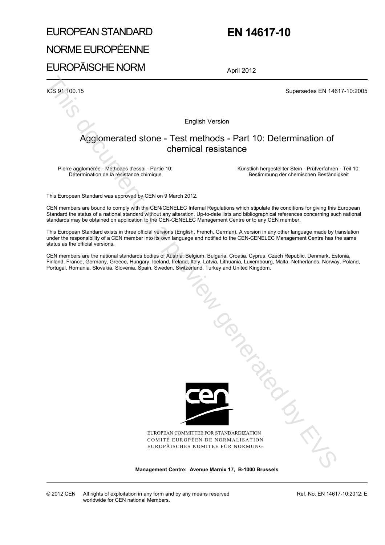# EUROPEAN STANDARD NORME EUROPÉENNE EUROPÄISCHE NORM

# **EN 14617-10**

April 2012

ICS 91.100.15 Supersedes EN 14617-10:2005

English Version

# Agglomerated stone - Test methods - Part 10: Determination of chemical resistance

Pierre agglomérée - Méthodes d'essai - Partie 10: Détermination de la résistance chimique

 Künstlich hergestellter Stein - Prüfverfahren - Teil 10: Bestimmung der chemischen Beständigkeit

This European Standard was approved by CEN on 9 March 2012.

CEN members are bound to comply with the CEN/CENELEC Internal Regulations which stipulate the conditions for giving this European Standard the status of a national standard without any alteration. Up-to-date lists and bibliographical references concerning such national standards may be obtained on application to the CEN-CENELEC Management Centre or to any CEN member.

This European Standard exists in three official versions (English, French, German). A version in any other language made by translation under the responsibility of a CEN member into its own language and notified to the CEN-CENELEC Management Centre has the same status as the official versions.

CEN members are the national standards bodies of Austria, Belgium, Bulgaria, Croatia, Cyprus, Czech Republic, Denmark, Estonia, Finland, France, Germany, Greece, Hungary, Iceland, Ireland, Italy, Latvia, Lithuania, Luxembourg, Malta, Netherlands, Norway, Poland, Portugal, Romania, Slovakia, Slovenia, Spain, Sweden, Switzerland, Turkey and United Kingdom.



EUROPEAN COMMITTEE FOR STANDARDIZATION COMITÉ EUROPÉEN DE NORMALISATION EUROPÄISCHES KOMITEE FÜR NORMUNG

**Management Centre: Avenue Marnix 17, B-1000 Brussels** 

Ref. No. EN 14617-10:2012: E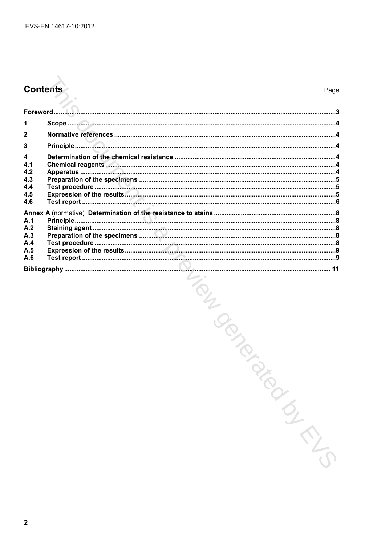# **Contents**

| $\overline{2}$                                             |  |
|------------------------------------------------------------|--|
| 3                                                          |  |
| $\overline{\mathbf{4}}$<br>4.1<br>4.2<br>4.3<br>4.4<br>4.5 |  |
| 4.6                                                        |  |
| A.1                                                        |  |
| A.2<br>A.3<br>A.4                                          |  |
| A.5<br>A.6                                                 |  |
|                                                            |  |

INDERICATION OF THE CONTROL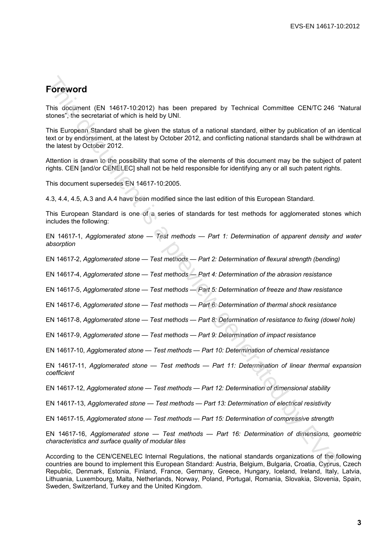# **Foreword**

This document (EN 14617-10:2012) has been prepared by Technical Committee CEN/TC 246 "Natural stones", the secretariat of which is held by UNI.

This European Standard shall be given the status of a national standard, either by publication of an identical text or by endorsement, at the latest by October 2012, and conflicting national standards shall be withdrawn at the latest by October 2012. **Forceword**<br>This document (EN 14617-10:2012) has been prepared by Technical Committee CENTC 246<br>stones", the secretion of which is held by UNI.<br>This European Standard of which is held by UNI.<br>This European Standard siand i

Attention is drawn to the possibility that some of the elements of this document may be the subject of patent rights. CEN [and/or CENELEC] shall not be held responsible for identifying any or all such patent rights.

This document supersedes EN 14617-10:2005.

4.3, 4.4, 4.5, A.3 and A.4 have been modified since the last edition of this European Standard.

This European Standard is one of a series of standards for test methods for agglomerated stones which includes the following:

EN 14617-1, *Agglomerated stone — Test methods — Part 1: Determination of apparent density and water absorption*

EN 14617-2, *Agglomerated stone — Test methods — Part 2: Determination of flexural strength (bending)*

EN 14617-4, *Agglomerated stone — Test methods — Part 4: Determination of the abrasion resistance*

EN 14617-5, *Agglomerated stone — Test methods — Part 5: Determination of freeze and thaw resistance*

EN 14617-6, *Agglomerated stone — Test methods — Part 6: Determination of thermal shock resistance* 

EN 14617-8, *Agglomerated stone — Test methods — Part 8: Determination of resistance to fixing (dowel hole)*

EN 14617-9, *Agglomerated stone — Test methods — Part 9: Determination of impact resistance*

EN 14617-10, *Agglomerated stone — Test methods — Part 10: Determination of chemical resistance*

EN 14617-11, *Agglomerated stone — Test methods — Part 11: Determination of linear thermal expansion coefficient* 

EN 14617-12, *Agglomerated stone — Test methods — Part 12: Determination of dimensional stability* 

EN 14617-13, *Agglomerated stone — Test methods — Part 13: Determination of electrical resistivity*

EN 14617-15, *Agglomerated stone — Test methods — Part 15: Determination of compressive strength* 

EN 14617-16, *Agglomerated stone — Test methods — Part 16: Determination of dimensions, geometric characteristics and surface quality of modular tiles* 

According to the CEN/CENELEC Internal Regulations, the national standards organizations of the following countries are bound to implement this European Standard: Austria, Belgium, Bulgaria, Croatia, Cyprus, Czech Republic, Denmark, Estonia, Finland, France, Germany, Greece, Hungary, Iceland, Ireland, Italy, Latvia, Lithuania, Luxembourg, Malta, Netherlands, Norway, Poland, Portugal, Romania, Slovakia, Slovenia, Spain, Sweden, Switzerland, Turkey and the United Kingdom.